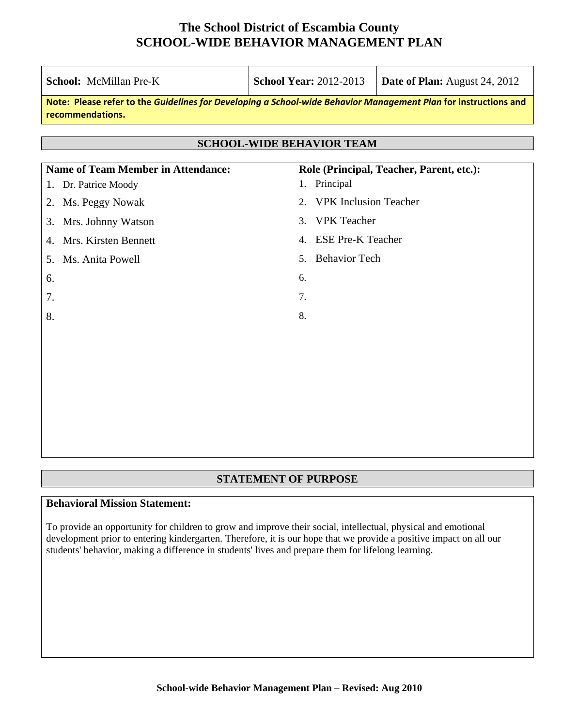| <b>School: McMillan Pre-K</b>                                                                                                       | <b>School Year: 2012-2013</b><br><b>Date of Plan:</b> August 24, 2012 |  |  |  |  |  |  |
|-------------------------------------------------------------------------------------------------------------------------------------|-----------------------------------------------------------------------|--|--|--|--|--|--|
| Note: Please refer to the Guidelines for Developing a School-wide Behavior Management Plan for instructions and<br>recommendations. |                                                                       |  |  |  |  |  |  |
| <b>SCHOOL-WIDE BEHAVIOR TEAM</b>                                                                                                    |                                                                       |  |  |  |  |  |  |
| <b>Name of Team Member in Attendance:</b>                                                                                           | Role (Principal, Teacher, Parent, etc.):                              |  |  |  |  |  |  |
| Dr. Patrice Moody<br>1.                                                                                                             | 1. Principal                                                          |  |  |  |  |  |  |
| Ms. Peggy Nowak<br>2.                                                                                                               | <b>VPK</b> Inclusion Teacher<br>2.                                    |  |  |  |  |  |  |
| Mrs. Johnny Watson<br>3.                                                                                                            | <b>VPK</b> Teacher<br>3.                                              |  |  |  |  |  |  |
| Mrs. Kirsten Bennett<br>4.                                                                                                          | <b>ESE Pre-K Teacher</b><br>$\mathbf{4}$ .                            |  |  |  |  |  |  |
| Ms. Anita Powell<br>5.                                                                                                              | <b>Behavior Tech</b><br>5.                                            |  |  |  |  |  |  |
| 6.                                                                                                                                  | 6.                                                                    |  |  |  |  |  |  |
| 7.                                                                                                                                  | 7.                                                                    |  |  |  |  |  |  |
| 8.                                                                                                                                  | 8.                                                                    |  |  |  |  |  |  |
|                                                                                                                                     |                                                                       |  |  |  |  |  |  |
|                                                                                                                                     |                                                                       |  |  |  |  |  |  |
|                                                                                                                                     |                                                                       |  |  |  |  |  |  |
|                                                                                                                                     |                                                                       |  |  |  |  |  |  |
|                                                                                                                                     |                                                                       |  |  |  |  |  |  |

## **STATEMENT OF PURPOSE**

## **Behavioral Mission Statement:**

To provide an opportunity for children to grow and improve their social, intellectual, physical and emotional development prior to entering kindergarten. Therefore, it is our hope that we provide a positive impact on all our students' behavior, making a difference in students' lives and prepare them for lifelong learning.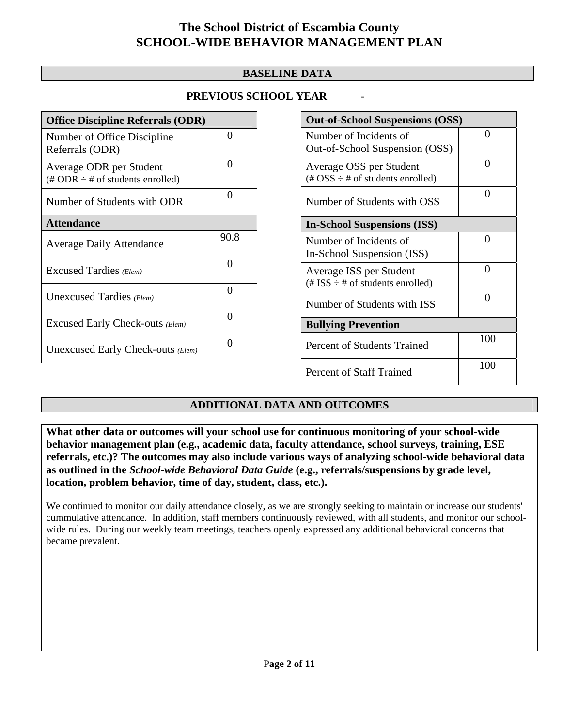## **BASELINE DATA**

## **PREVIOUS SCHOOL YEAR** -

| <b>Office Discipline Referrals (ODR)</b>                                         |                   |  |  |  |
|----------------------------------------------------------------------------------|-------------------|--|--|--|
| Number of Office Discipline<br>Referrals (ODR)                                   | $\mathbf{\Omega}$ |  |  |  |
| Average ODR per Student<br>$(\text{\# ODR} \div \text{\# of students enrolled})$ | Ω                 |  |  |  |
| Number of Students with ODR                                                      | $\mathbf{\Omega}$ |  |  |  |
| <b>Attendance</b>                                                                |                   |  |  |  |
| <b>Average Daily Attendance</b>                                                  | 90.8              |  |  |  |
| Excused Tardies (Elem)                                                           | ∩                 |  |  |  |
| Unexcused Tardies (Elem)                                                         | ∩                 |  |  |  |
| Excused Early Check-outs (Elem)                                                  | ∩                 |  |  |  |
| Unexcused Early Check-outs (Elem)                                                | ∩                 |  |  |  |

| <b>Out-of-School Suspensions (OSS)</b>                                                          |              |  |  |  |
|-------------------------------------------------------------------------------------------------|--------------|--|--|--|
| Number of Incidents of<br>Out-of-School Suspension (OSS)                                        | $\mathbf{0}$ |  |  |  |
| Average OSS per Student<br>$(\text{\#} \text{OSS} \div \text{\#} \text{ of students enrolled})$ | 0            |  |  |  |
| Number of Students with OSS                                                                     | 0            |  |  |  |
| <b>In-School Suspensions (ISS)</b>                                                              |              |  |  |  |
| Number of Incidents of<br>In-School Suspension (ISS)                                            | 0            |  |  |  |
| Average ISS per Student<br>$(\# ISS \div \# of students enrolled)$                              | ∩            |  |  |  |
| Number of Students with ISS                                                                     | ∩            |  |  |  |
| <b>Bullying Prevention</b>                                                                      |              |  |  |  |
| <b>Percent of Students Trained</b>                                                              | 100          |  |  |  |
| <b>Percent of Staff Trained</b>                                                                 | 100          |  |  |  |

## **ADDITIONAL DATA AND OUTCOMES**

**What other data or outcomes will your school use for continuous monitoring of your school-wide behavior management plan (e.g., academic data, faculty attendance, school surveys, training, ESE referrals, etc.)? The outcomes may also include various ways of analyzing school-wide behavioral data as outlined in the** *School-wide Behavioral Data Guide* **(e.g., referrals/suspensions by grade level, location, problem behavior, time of day, student, class, etc.).**

We continued to monitor our daily attendance closely, as we are strongly seeking to maintain or increase our students' cummulative attendance. In addition, staff members continuously reviewed, with all students, and monitor our schoolwide rules. During our weekly team meetings, teachers openly expressed any additional behavioral concerns that became prevalent.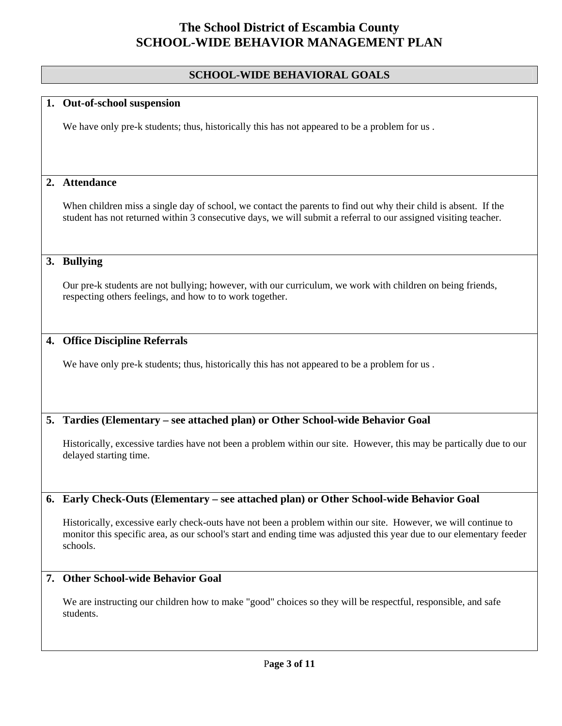### **SCHOOL-WIDE BEHAVIORAL GOALS**

#### **1. Out-of-school suspension**

We have only pre-k students; thus, historically this has not appeared to be a problem for us.

### **2. Attendance**

When children miss a single day of school, we contact the parents to find out why their child is absent. If the student has not returned within 3 consecutive days, we will submit a referral to our assigned visiting teacher.

### **3. Bullying**

Our pre-k students are not bullying; however, with our curriculum, we work with children on being friends, respecting others feelings, and how to to work together.

#### **4. Office Discipline Referrals**

We have only pre-k students; thus, historically this has not appeared to be a problem for us.

#### **5. Tardies (Elementary – see attached plan) or Other School-wide Behavior Goal**

Historically, excessive tardies have not been a problem within our site. However, this may be partically due to our delayed starting time.

#### **6. Early Check-Outs (Elementary – see attached plan) or Other School-wide Behavior Goal**

Historically, excessive early check-outs have not been a problem within our site. However, we will continue to monitor this specific area, as our school's start and ending time was adjusted this year due to our elementary feeder schools.

### **7. Other School-wide Behavior Goal**

We are instructing our children how to make "good" choices so they will be respectful, responsible, and safe students.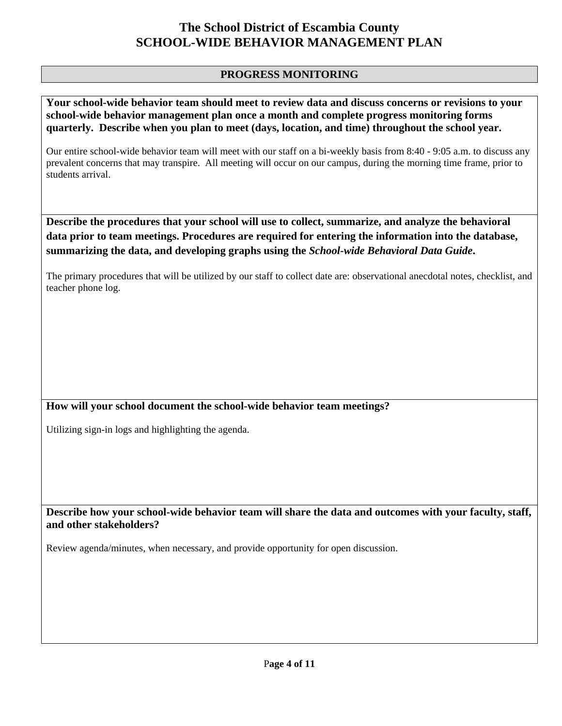## **PROGRESS MONITORING**

**Your school-wide behavior team should meet to review data and discuss concerns or revisions to your school-wide behavior management plan once a month and complete progress monitoring forms quarterly. Describe when you plan to meet (days, location, and time) throughout the school year.** 

Our entire school-wide behavior team will meet with our staff on a bi-weekly basis from 8:40 - 9:05 a.m. to discuss any prevalent concerns that may transpire. All meeting will occur on our campus, during the morning time frame, prior to students arrival.

**Describe the procedures that your school will use to collect, summarize, and analyze the behavioral data prior to team meetings. Procedures are required for entering the information into the database, summarizing the data, and developing graphs using the** *School-wide Behavioral Data Guide***.** 

The primary procedures that will be utilized by our staff to collect date are: observational anecdotal notes, checklist, and teacher phone log.

## **How will your school document the school-wide behavior team meetings?**

Utilizing sign-in logs and highlighting the agenda.

**Describe how your school-wide behavior team will share the data and outcomes with your faculty, staff, and other stakeholders?** 

Review agenda/minutes, when necessary, and provide opportunity for open discussion.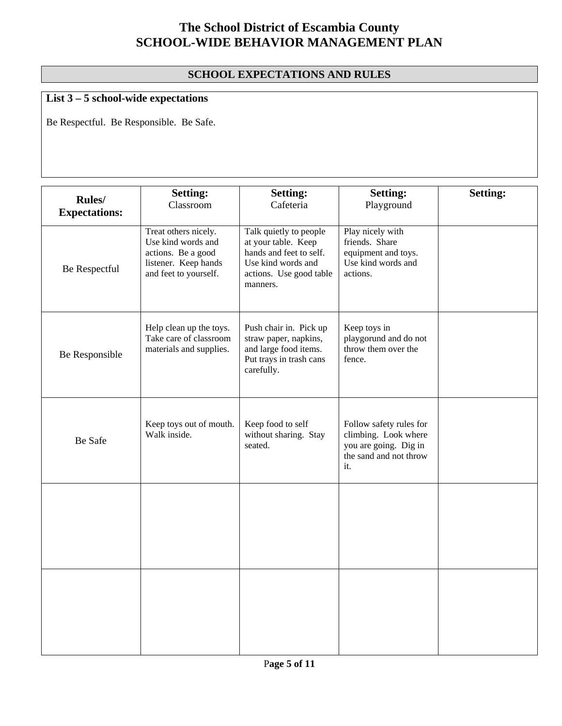## **SCHOOL EXPECTATIONS AND RULES**

# **List 3 – 5 school-wide expectations**

Be Respectful. Be Responsible. Be Safe.

| Rules/<br><b>Expectations:</b> | <b>Setting:</b><br>Classroom                                                                                      | <b>Setting:</b><br>Cafeteria                                                                                                          | <b>Setting:</b><br>Playground                                                                             | <b>Setting:</b> |
|--------------------------------|-------------------------------------------------------------------------------------------------------------------|---------------------------------------------------------------------------------------------------------------------------------------|-----------------------------------------------------------------------------------------------------------|-----------------|
| Be Respectful                  | Treat others nicely.<br>Use kind words and<br>actions. Be a good<br>listener. Keep hands<br>and feet to yourself. | Talk quietly to people<br>at your table. Keep<br>hands and feet to self.<br>Use kind words and<br>actions. Use good table<br>manners. | Play nicely with<br>friends. Share<br>equipment and toys.<br>Use kind words and<br>actions.               |                 |
| Be Responsible                 | Help clean up the toys.<br>Take care of classroom<br>materials and supplies.                                      | Push chair in. Pick up<br>straw paper, napkins,<br>and large food items.<br>Put trays in trash cans<br>carefully.                     | Keep toys in<br>playgorund and do not<br>throw them over the<br>fence.                                    |                 |
| Be Safe                        | Keep toys out of mouth.<br>Walk inside.                                                                           | Keep food to self<br>without sharing. Stay<br>seated.                                                                                 | Follow safety rules for<br>climbing. Look where<br>you are going. Dig in<br>the sand and not throw<br>it. |                 |
|                                |                                                                                                                   |                                                                                                                                       |                                                                                                           |                 |
|                                |                                                                                                                   |                                                                                                                                       |                                                                                                           |                 |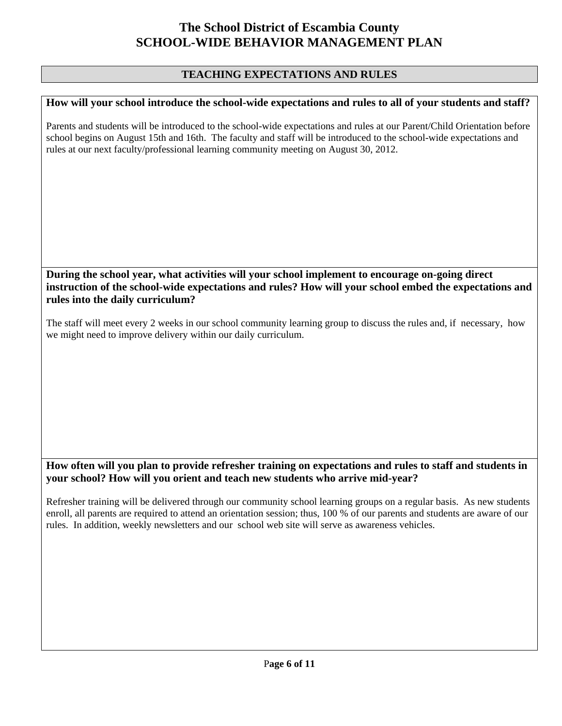## **TEACHING EXPECTATIONS AND RULES**

#### **How will your school introduce the school-wide expectations and rules to all of your students and staff?**

Parents and students will be introduced to the school-wide expectations and rules at our Parent/Child Orientation before school begins on August 15th and 16th. The faculty and staff will be introduced to the school-wide expectations and rules at our next faculty/professional learning community meeting on August 30, 2012.

### **During the school year, what activities will your school implement to encourage on-going direct instruction of the school-wide expectations and rules? How will your school embed the expectations and rules into the daily curriculum?**

The staff will meet every 2 weeks in our school community learning group to discuss the rules and, if necessary, how we might need to improve delivery within our daily curriculum.

### **How often will you plan to provide refresher training on expectations and rules to staff and students in your school? How will you orient and teach new students who arrive mid-year?**

Refresher training will be delivered through our community school learning groups on a regular basis. As new students enroll, all parents are required to attend an orientation session; thus, 100 % of our parents and students are aware of our rules. In addition, weekly newsletters and our school web site will serve as awareness vehicles.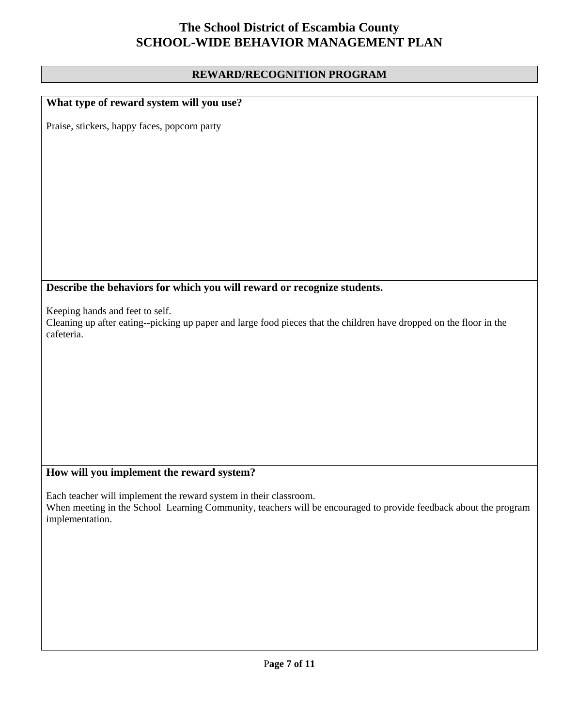### **REWARD/RECOGNITION PROGRAM**

## **What type of reward system will you use?**

Praise, stickers, happy faces, popcorn party

## **Describe the behaviors for which you will reward or recognize students.**

Keeping hands and feet to self.

Cleaning up after eating--picking up paper and large food pieces that the children have dropped on the floor in the cafeteria.

## **How will you implement the reward system?**

Each teacher will implement the reward system in their classroom. When meeting in the School Learning Community, teachers will be encouraged to provide feedback about the program implementation.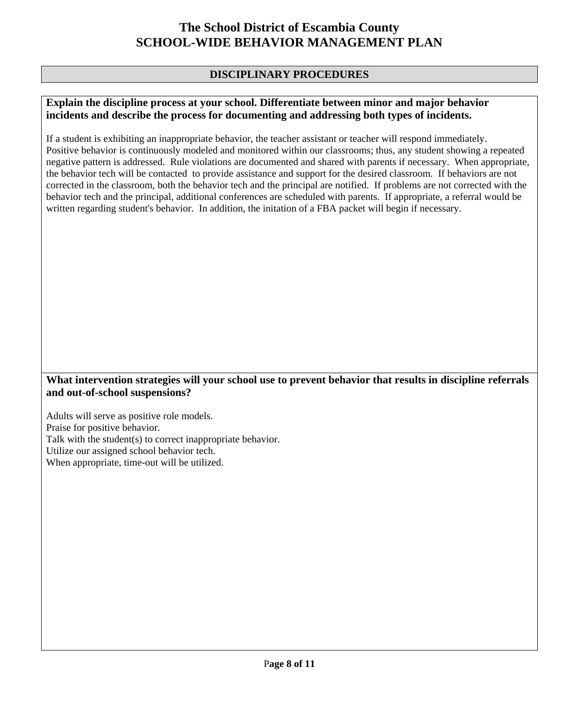## **DISCIPLINARY PROCEDURES**

#### **Explain the discipline process at your school. Differentiate between minor and major behavior incidents and describe the process for documenting and addressing both types of incidents.**

If a student is exhibiting an inappropriate behavior, the teacher assistant or teacher will respond immediately. Positive behavior is continuously modeled and monitored within our classrooms; thus, any student showing a repeated negative pattern is addressed. Rule violations are documented and shared with parents if necessary. When appropriate, the behavior tech will be contacted to provide assistance and support for the desired classroom. If behaviors are not corrected in the classroom, both the behavior tech and the principal are notified. If problems are not corrected with the behavior tech and the principal, additional conferences are scheduled with parents. If appropriate, a referral would be written regarding student's behavior. In addition, the initation of a FBA packet will begin if necessary.

### **What intervention strategies will your school use to prevent behavior that results in discipline referrals and out-of-school suspensions?**

Adults will serve as positive role models. Praise for positive behavior. Talk with the student(s) to correct inappropriate behavior. Utilize our assigned school behavior tech. When appropriate, time-out will be utilized.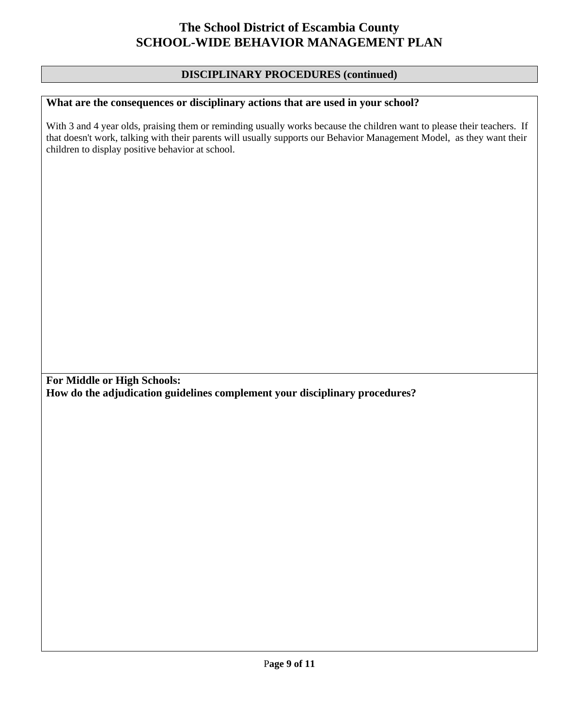## **DISCIPLINARY PROCEDURES (continued)**

## **What are the consequences or disciplinary actions that are used in your school?**

With 3 and 4 year olds, praising them or reminding usually works because the children want to please their teachers. If that doesn't work, talking with their parents will usually supports our Behavior Management Model, as they want their children to display positive behavior at school.

**For Middle or High Schools: How do the adjudication guidelines complement your disciplinary procedures?**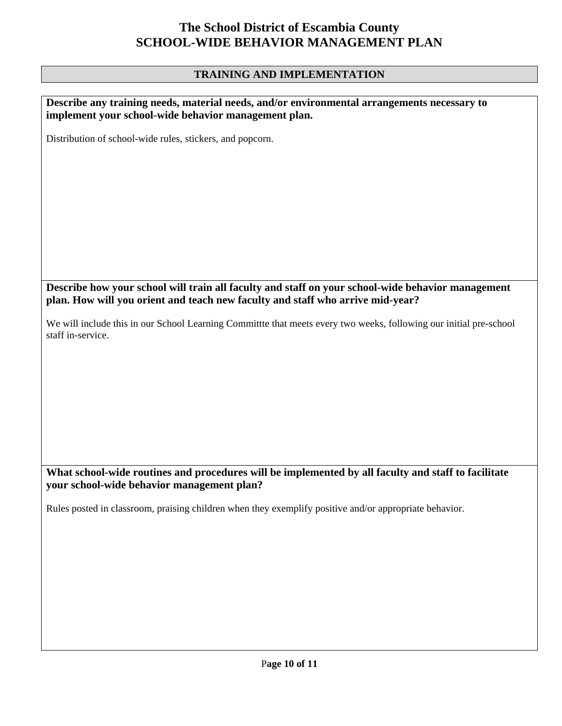## **TRAINING AND IMPLEMENTATION**

| Describe any training needs, material needs, and/or environmental arrangements necessary to<br>implement your school-wide behavior management plan. |
|-----------------------------------------------------------------------------------------------------------------------------------------------------|
| Distribution of school-wide rules, stickers, and popcorn.                                                                                           |
|                                                                                                                                                     |
|                                                                                                                                                     |
|                                                                                                                                                     |
|                                                                                                                                                     |
|                                                                                                                                                     |
|                                                                                                                                                     |
| Describe how your school will train all faculty and staff on your school-wide behavior management                                                   |
| plan. How will you orient and teach new faculty and staff who arrive mid-year?                                                                      |
| We will include this in our School Learning Committte that meets every two weeks, following our initial pre-school<br>staff in-service.             |
|                                                                                                                                                     |
|                                                                                                                                                     |
|                                                                                                                                                     |
|                                                                                                                                                     |
|                                                                                                                                                     |
|                                                                                                                                                     |
| What school-wide routines and procedures will be implemented by all faculty and staff to facilitate<br>your school-wide behavior management plan?   |
| Rules posted in classroom, praising children when they exemplify positive and/or appropriate behavior.                                              |
|                                                                                                                                                     |
|                                                                                                                                                     |
|                                                                                                                                                     |
|                                                                                                                                                     |
|                                                                                                                                                     |
|                                                                                                                                                     |